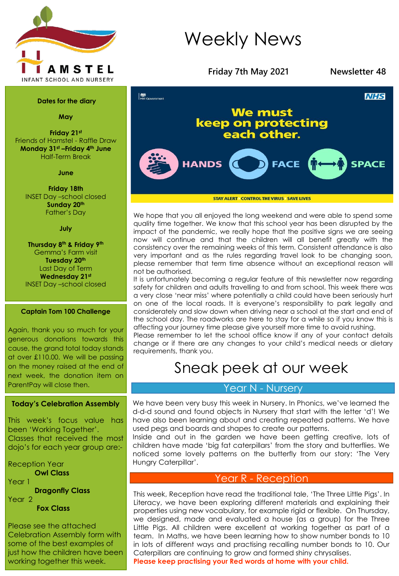

#### **Dates for the diary**

**May**

**Friday 21st** Friends of Hamstel - Raffle Draw **Monday 31st –Friday 4th June** Half-Term Break

**June**

**Friday 18th** INSET Day –school closed **Sunday 20th** Father's Day

#### **July**

**Thursday 8th & Friday 9th** Gemma's Farm visit **Tuesday 20th** Last Day of Term **Wednesday 21st** INSET Day –school closed

#### **Captain Tom 100 Challenge**

Again, thank you so much for your generous donations towards this cause, the grand total today stands at over £110.00. We will be passing on the money raised at the end of next week, the donation item on ParentPay will close then.

#### **Today's Celebration Assembly**

This week's focus value has been 'Working Together'. Classes that received the most dojo's for each year group are:-

Reception Year **Owl Class** Year 1 **Dragonfly Class** Year 2

**Fox Class**

Please see the attached Celebration Assembly form with some of the best examples of just how the children have been working together this week.

# Weekly News



**STAY ALERT CONTROL THE VIRUS SAVE LIVES** 

We hope that you all enjoyed the long weekend and were able to spend some quality time together. We know that this school year has been disrupted by the impact of the pandemic, we really hope that the positive signs we are seeing now will continue and that the children will all benefit greatly with the consistency over the remaining weeks of this term. Consistent attendance is also very important and as the rules regarding travel look to be changing soon, please remember that term time absence without an exceptional reason will not be authorised.

It is unfortunately becoming a regular feature of this newsletter now regarding safety for children and adults travelling to and from school. This week there was a very close 'near miss' where potentially a child could have been seriously hurt on one of the local roads. It is everyone's responsibility to park legally and considerately and slow down when driving near a school at the start and end of the school day. The roadworks are here to stay for a while so if you know this is affecting your journey time please give yourself more time to avoid rushing.

Please remember to let the school office know if any of your contact details change or if there are any changes to your child's medical needs or dietary requirements, thank you.

# Sneak peek at our week

## Year N - Nursery

We have been very busy this week in Nursery. In Phonics, we've learned the d-d-d sound and found objects in Nursery that start with the letter 'd'! We have also been learning about and creating repeated patterns. We have used pegs and boards and shapes to create our patterns.

Inside and out in the garden we have been getting creative, lots of children have made 'big fat caterpillars' from the story and butterflies. We noticed some lovely patterns on the butterfly from our story: 'The Very Hungry Caterpillar'.

### Year R - Reception

This week, Reception have read the traditional tale, 'The Three Little Pigs'. In Literacy, we have been exploring different materials and explaining their properties using new vocabulary, for example rigid or flexible. On Thursday, we designed, made and evaluated a house (as a group) for the Three Little Pigs. All children were excellent at working together as part of a team. In Maths, we have been learning how to show number bonds to 10 in lots of different ways and practising recalling number bonds to 10. Our Caterpillars are continuing to grow and formed shiny chrysalises. **Please keep practising your Red words at home with your child.**